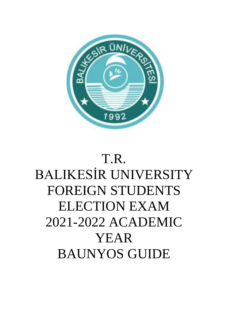

# T.R. BALIKESİR UNIVERSITY FOREIGN STUDENTS ELECTION EXAM 2021-2022 ACADEMIC YEAR BAUNYOS GUIDE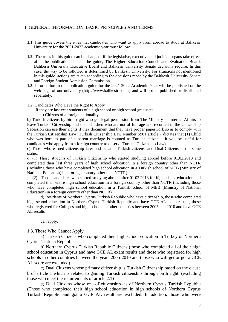#### 1. GENERAL INFORMATION, BASIC PRINCIPLES AND TERMS

- **1.1.**This guide covers the rules that candidates who want to apply from abroad to study at Balıkesir University for the 2021-2022 academic year must follow.
- **1.2.** The rules in this guide can be changed; if the legislative, executive and judicial organs take effect after the publication date of the guide; The Higher Education Council and Evaluation Board, Balıkesir University Executive Board and Balıkesir University Senate decisions require. In this case, the way to be followed is determined by Balıkesir University. For situations not mentioned in this guide, actions are taken according to the decisions made by the Balıkesir University Senate and Foreign Student Admission Commission.
- **1.3.** Information in the application guide for the 2021-2022 Academic Year will be published on the web page of our university (http://www.balikesir.edu.tr) and will not be published or distributed separately.
- 1.2. Candidates Who Have the Right to Apply

If they are last year students of a high school or high school graduates:

a) Citizens of a foreign nationality,

b) Turkish citizens by birth right who got legal permission from The Ministry of Internal Affairs to leave Turkish Citizenship and their children who are not of full age and recorded in the Citizenship Secession can use their rights if they document that they have proper paperwork so as to comply with the Turkish Citizenship Law (Turkish Citizenship Law Number 5901 article 7 dictates that (1) Child who was born as part of a parent marriage is counted as Turkish citizen – It will be useful for candidates who apply from a foreign country to observe Turkish Citizenship Law).

c) Those who earned citizenship later and became Turkish citizens, and Dual Citizens in the same status.

ç) (1) Those students of Turkish Citizenship who started studying abroad before 01.02.2013 and completed their last three years of high school education in a foreign country other than NCTR (including those who have completed high school education in a Turkish school of MEB (Ministry of National Education) in a foreign country other than NCTR).

 (2) Those candidates who started studying abroad after 01.02.2013 for high school education and completed their entire high school education in a foreign country other than NCTR (including those who have completed high school education in a Turkish school of MEB (Ministry of National Education) in a foreign country other than NCTR)

d) Residents of Northern Cyprus Turkish Republic who have citizenship, those who completed high school education in Northern Cyprus Turkish Republic and have GCE AL exam results, those who registered for Colleges and high schools in other countries between 2005 and 2010 and have GCE AL results

can apply.

1.3. Those Who Cannot Apply

a) Turkish Citizens who completed their high school education in Turkey or Northern Cyprus Turkish Republic

b) Northern Cyprus Turkish Republic Citizens (those who completed all of their high school education in Cyprus and have GCE AL exam results and those who registered for high schools in other countries between the years 2005-2010 and those who will get or got a GCE AL score are excluded)

c) Dual Citizens whose primary citizenship is Turkish Citizenship based on the clause b of article 1 which is related to gaining Turkish citizenship through birth right. (excluding those who meet the requirements of article 2.1)

ç) Dual Citizens whose one of citizenships is of Northern Cyprus Turkish Republic (Those who completed their high school education in high schools of Northern Cyprus Turkish Republic and got a GCE AL result are excluded. In addition, those who were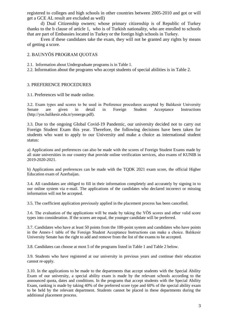registered to colleges and high schools in other countries between 2005-2010 and got or will get a GCE AL result are excluded as well)

d) Dual Citizenship owners; whose primary citizenship is of Republic of Turkey thanks to the b clause of article 1, who is of Turkish nationality, who are enrolled to schools that are part of Embassies located in Turkey or the foreign high schools in Turkey.

Even if these candidates take the exam, they will not be granted any rights by means of getting a score.

#### 2. BAUNYÖS PROGRAM QUOTAS

2.1. Information about Undergraduate programs is in Table 1.

2.2. Information about the programs who accept students of special abilities is in Table 2.

### 3. PREFERENCE PROCEDURES

3.1. Preferences will be made online.

3.2. Exam types and scores to be used in Preference procedures accepted by Balıkesir University Senate are given in detail in Foreign Student Acceptance Instructions (http://yos.balikesir.edu.tr/yonerge.pdf).

3.3. Due to the ongoing Global Covid-19 Pandemic, our university decided not to carry out Foreign Student Exam this year. Therefore, the following decisions have been taken for students who want to apply to our University and make a choice as international student status:

a) Applications and preferences can also be made with the scores of Foreign Student Exams made by all state universities in our country that provide online verification services, also exams of KUNIB in 2019-2020-2021.

b) Applications and preferences can be made with the TQDK 2021 exam score, the official Higher Education exam of Azerbaijan.

3.4. All candidates are obliged to fill in their information completely and accurately by signing in to our online system via e-mail. The applications of the candidates who declared incorrect or missing information will not be accepted.

3.5. The coefficient application previously applied in the placement process has been cancelled.

3.6. The evaluation of the applications will be made by taking the YÖS scores and other valid score types into consideration. If the scores are equal, the younger candidate will be preferred.

3.7. Candidates who have at least 50 points from the 100-point system and candidates who have points in the Annex-1 table of the Foreign Student Acceptance Instructions can make a choice. Balıkesir University Senate has the right to add and remove from the list of the exams to be accepted.

3.8. Candidates can choose at most 5 of the programs listed in Table 1 and Table 2 below.

3.9. Students who have registered at our university in previous years and continue their education cannot re-apply.

3.10. In the applications to be made to the departments that accept students with the Special Ability Exam of our university, a special ability exam is made by the relevant schools according to the announced quota, dates and conditions. In the programs that accept students with the Special Ability Exam, ranking is made by taking 40% of the preferred score type and 60% of the special ability exam to be held by the relevant department. Students cannot be placed in these departments during the additional placement process.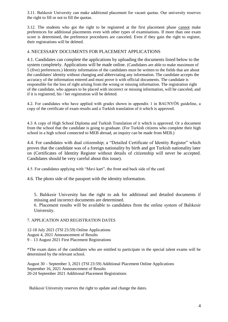3.11. Balıkesir University can make additional placement for vacant quotas. Our university reserves the right to fill or not to fill the quotas.

3.12. The students who got the right to be registered at the first placement phase cannot make preferences for additional placements even with other types of examinations. If more than one exam score is determined, the preference procedures are canceled. Even if they gain the right to register, their registrations will be deleted.

### 4. NECESSARY DOCUMENTS FOR PLACEMENT APPLICATIONS

4.1. Candidates can complete the applications by uploading the documents listed below to the system completely. Applications will be made online. (Candidates are able to make maximum of 5 (five) preferences.) Identity information of the candidates must be written to the fields that are about the candidates' identity without changing and abbreviating any information. The candidate accepts the accuracy of the information entered and must prove it with official documents. The candidate is responsible for the loss of right arising from the wrong or missing information. The registration right of the candidate, who appears to be placed with incorrect or missing information, will be canceled, and if it is registered, his / her registration will be deleted.

4.2. For candidates who have applied with grades shown in appendix 1 in BAUNYÖS guideline, a copy of the certificate of exam results and a Turkish translation of it which is approved.

4.3 A copy of High School Diploma and Turkish Translation of it which is approved. Or a document from the school that the candidate is going to graduate. (For Turkish citizens who complete their high school in a high school connected to MEB abroad, an inquiry can be made from MEB.)

4.4. For candidates with dual citizenship; a "Detailed Certificate of Identity Register" which proves that the candidate was of a foreign nationality by birth and got Turkish nationality later on (Certificates of Identity Register without details of citizenship will never be accepted. Candidates should be very careful about this issue).

4.5. For candidates applying with "Mavi kart", the front and back side of the card.

4.6. The photo side of the passport with the identity information.

5. Balıkesir University has the right to ask for additional and detailed documents if missing and incorrect documents are determined.

6. Placement results will be available to candidates from the online system of Balıkesir University.

#### 7. APPLICATION AND REGISTRATION DATES

12-18 July 2021 (TSI 23:59) Online Applications August 4, 2021 Announcement of Results 9 – 13 August 2021 First Placement Registrations

\*The exam dates of the candidates who are entitled to participate in the special talent exams will be determined by the relevant school.

August 30 – September 3, 2021 (TSI 23:59) Additional Placement Online Applications September 16, 2021 Announcement of Results 20-24 September 2021 Additional Placement Registrations

Balıkesir University reserves the right to update and change the dates.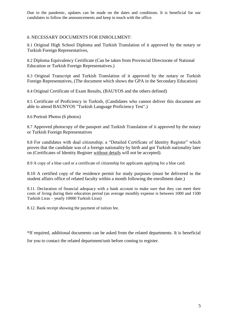Due to the pandemic, updates can be made on the dates and conditions. It is beneficial for our candidates to follow the announcements and keep in touch with the office.

## 8. NECESSARY DOCUMENTS FOR ENROLLMENT:

8.1 Original High School Diploma and Turkish Translation of it approved by the notary or Turkish Foreign Representatives,

8.2 Diploma Equivalency Certificate (Can be taken from Provincial Directorate of National Education or Turkish Foreign Representatives.)

8.3 Original Transcript and Turkish Translation of it approved by the notary or Turkish Foreign Representatives, (The document which shows the GPA in the Secondary Education)

8.4 Original Certificate of Exam Results, (BAUYOS and the others defined)

8.5 Certificate of Proficiency in Turkish, (Candidates who cannot deliver this document are able to attend BAUNYOS "Turkish Language Proficiency Test".)

8.6 Portrait Photos (6 photos)

8.7 Approved photocopy of the passport and Turkish Translation of it approved by the notary or Turkish Foreign Representatives

8.8 For candidates with dual citizenship; a "Detailed Certificate of Identity Register" which proves that the candidate was of a foreign nationality by birth and got Turkish nationality later on (Certificates of Identity Register without details will not be accepted).

8.9 A copy of a blue card or a certificate of citizenship for applicants applying for a blue card.

8.10 A certified copy of the residence permit for study purposes (must be delivered to the student affairs office of related faculty within a month following the enrollment date.)

8.11. Declaration of financial adequacy with a bank account to make sure that they can meet their costs of living during their education period (an average monthly expense is between 1000 and 1500 Turkish Liras – yearly 10000 Turkish Liras)

8.12. Bank receipt showing the payment of tuition fee.

\*If required, additional documents can be asked from the related departments. It is beneficial for you to contact the related department/unit before coming to register.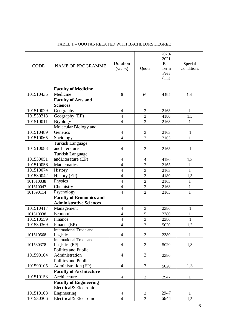| TABLE 1 - QUOTAS RELATED WITH BACHELORS DEGREE |                                               |                          |                |                                               |                       |
|------------------------------------------------|-----------------------------------------------|--------------------------|----------------|-----------------------------------------------|-----------------------|
| <b>CODE</b>                                    | <b>NAME OF PROGRAMME</b>                      | Duration<br>(years)      | Quota          | 2020-<br>2021<br>Edu.<br>Term<br>Fees<br>(TL) | Special<br>Conditions |
|                                                |                                               |                          |                |                                               |                       |
|                                                | <b>Faculty of Medicine</b>                    |                          |                |                                               |                       |
| 101510435                                      | Medicine                                      | 6                        | $6*$           | 4494                                          | 1,4                   |
|                                                | <b>Faculty of Arts and</b><br><b>Sciences</b> |                          |                |                                               |                       |
| 101510029                                      | Geography                                     | $\overline{\mathcal{A}}$ | $\mathbf{2}$   | 2163                                          | 1                     |
| 101530218                                      | Geography (EP)                                | $\overline{4}$           | 3              | 4180                                          | 1,3                   |
| 101510011                                      | Biyology                                      | $\overline{\mathcal{L}}$ | $\overline{2}$ | 2163                                          | 1                     |
|                                                | Molecular Biology and                         |                          |                |                                               |                       |
| 101510489                                      | Genetics                                      | $\overline{4}$           | $\mathfrak{Z}$ | 2163                                          | $\mathbf{1}$          |
| 101510065                                      | Sociology                                     | $\overline{4}$           | $\overline{2}$ | 2163                                          | $\mathbf{1}$          |
|                                                | <b>Turkish Language</b>                       |                          |                |                                               |                       |
| 101510083                                      | andLiterature                                 | $\overline{4}$           | 3              | 2163                                          | 1                     |
|                                                | <b>Turkish Language</b>                       |                          |                |                                               |                       |
| 101530051                                      | andLiterature (EP)                            | $\overline{4}$           | $\overline{4}$ | 4180                                          | 1,3                   |
| 101510056                                      | Mathematics                                   | $\overline{4}$           | $\overline{2}$ | 2163                                          | $\mathbf{1}$          |
| 101510074                                      | History                                       | $\overline{4}$           | 3              | 2163                                          | $\mathbf{1}$          |
| 101530042                                      | History (EP)                                  | $\overline{4}$           | 3              | 4180                                          | 1,3                   |
| 101510038                                      | Physics                                       | $\overline{4}$           | $\overline{2}$ | 2163                                          | $\mathbf{1}$          |
| 101510047                                      | Chemistry                                     | $\overline{\mathcal{L}}$ | $\overline{2}$ | 2163                                          | $\mathbf{1}$          |
| 101590114                                      | Psychology                                    | $\overline{4}$           | $\overline{2}$ | 2163                                          | $\mathbf{1}$          |
|                                                | <b>Faculty of Economics and</b>               |                          |                |                                               |                       |
|                                                | <b>Administrative Sciences</b>                |                          |                |                                               |                       |
| 101510417                                      | Management                                    | $\overline{4}$           | 3              | 2380                                          | 1                     |
| 101510038                                      | Economics                                     | $\overline{4}$           | 5              | 2380                                          | $\mathbf{1}$          |
| 101510559                                      | Finance                                       | $\overline{4}$           | $\mathfrak{Z}$ | 2380                                          | $\mathbf{1}$          |
| 101530369                                      | Finance(EP)                                   | $\overline{4}$           | $\overline{3}$ | 5020                                          | 1,3                   |
| 101510568                                      | <b>International Trade and</b><br>Logistics   | $\overline{4}$           | 3              | 2380                                          | $\mathbf{1}$          |
|                                                | <b>International Trade and</b>                |                          |                |                                               |                       |
| 101530378                                      | Logistics (EP)                                | $\overline{4}$           | 3              | 5020                                          | 1,3                   |
|                                                | Politics and Public                           |                          |                |                                               |                       |
| 101590104                                      | Administration                                | $\overline{4}$           | 3              | 2380                                          |                       |
|                                                | Politics and Public                           |                          |                |                                               |                       |
| 101590105                                      | Administration (EP)                           | $\overline{4}$           | 3              | 5020                                          | 1,3                   |
|                                                | <b>Faculty of Architecture</b>                |                          |                |                                               |                       |
| 101510153                                      | Architecture                                  | $\overline{4}$           | $\sqrt{2}$     | 2947                                          | $\mathbf{1}$          |
|                                                | <b>Faculty of Engineering</b>                 |                          |                |                                               |                       |
|                                                | Electrical& Electronic                        |                          |                |                                               |                       |
| 101510108                                      | Engineering                                   | $\overline{4}$           | 3              | 2947                                          | $\mathbf{1}$          |
| 101530306                                      | Electrical& Electronic                        | $\overline{4}$           | 3              | 6644                                          | 1,3                   |

 $\mathbf{r}$ 

٦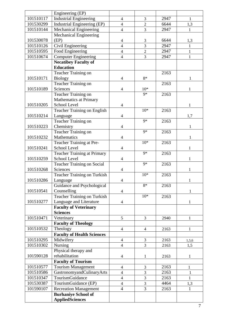|           | Engineering (EP)                   |                          |                 |      |              |
|-----------|------------------------------------|--------------------------|-----------------|------|--------------|
| 101510117 | <b>Industrial Engineering</b>      | $\overline{4}$           | 3               | 2947 | $\mathbf{1}$ |
| 101530299 | Industrial Engineering (EP)        | $\overline{4}$           | $\overline{2}$  | 6644 | 1,3          |
| 101510144 | Mechanical Engineering             | $\overline{4}$           | 3               | 2947 | 1            |
|           | Mechanical Engineering             |                          |                 |      |              |
| 101530078 | (EP)                               | 4                        | 3               | 6644 | 1,3          |
| 101510126 | Civil Engineering                  | $\overline{4}$           | $\overline{3}$  | 2947 | $\mathbf{1}$ |
| 101510595 | Food Engineering                   | $\overline{\mathcal{L}}$ | $\overline{2}$  | 2947 | 1            |
| 101510674 | <b>Computer Engineering</b>        | $\overline{\mathcal{L}}$ | 3               | 2947 | $\mathbf{1}$ |
|           | <b>Necatibey Faculty of</b>        |                          |                 |      |              |
|           | <b>Education</b>                   |                          |                 |      |              |
|           | Teacher Training on                |                          |                 | 2163 |              |
| 101510171 | <b>Biology</b>                     | $\overline{4}$           | $8*$            |      |              |
|           | Teacher Training on                |                          |                 | 2163 |              |
| 101510189 | Sciences                           | $\overline{4}$           | $10*$           |      | 1            |
|           | <b>Teacher Training on</b>         |                          | $9*$            | 2163 |              |
|           | Mathematics at Primary             |                          |                 |      |              |
| 101510205 | School Level                       | 4                        |                 |      | 1            |
|           | <b>Teacher Training on English</b> |                          | $10*$           | 2163 |              |
| 101510214 | Language                           | $\overline{\mathcal{A}}$ |                 |      | 1,7          |
|           | Teacher Training on                |                          | $9*$            | 2163 |              |
| 101510223 | Chemistry                          | 4                        |                 |      | 1            |
|           | Teacher Training on                |                          | $\overline{9*}$ | 2163 |              |
| 101510232 | Mathematics                        | 4                        |                 |      | 1            |
|           | Teacher Training at Pre-           |                          | $10*$           | 2163 |              |
| 101510241 | School Level                       | $\overline{\mathcal{A}}$ |                 |      | 1            |
|           | <b>Teacher Training at Primary</b> |                          | $\overline{9*}$ | 2163 |              |
| 101510259 | School Level                       | 4                        |                 |      | 1            |
|           | <b>Teacher Training on Social</b>  |                          | $9*$            | 2163 |              |
| 101510268 | Sciences                           | 4                        |                 |      | 1            |
|           | <b>Teacher Training on Turkish</b> |                          | $10*$           | 2163 |              |
| 101510286 | Language                           | Δ                        |                 |      | $\mathbf{1}$ |
|           | Guidance and Psychological         |                          | $8*$            | 2163 |              |
| 101510541 | Counselling                        | 4                        |                 |      | 1            |
|           | Teacher Training on Turkish        |                          | $10*$           | 2163 |              |
| 101510277 | Language and Literature            | $\overline{\mathcal{A}}$ |                 |      | $\mathbf{1}$ |
|           | <b>Faculty of Veterinary</b>       |                          |                 |      |              |
|           | <b>Sciences</b>                    |                          |                 |      |              |
| 101510471 | Veterinary                         | 5                        | 3               | 2940 | $\mathbf{1}$ |
|           | <b>Faculty of Theology</b>         |                          |                 |      |              |
| 101510532 | Theology                           | $\overline{4}$           | $\overline{4}$  | 2163 | $\mathbf{1}$ |
|           | <b>Faculty of Health Sciences</b>  |                          |                 |      |              |
| 101510295 | Midwifery                          | $\overline{4}$           | 3               | 2163 | 1,5,6        |
| 101510302 | Nursing                            | $\overline{4}$           | 3               | 2163 | 1,5          |
|           | Physical therapy and               |                          |                 |      |              |
| 101590128 | rehabilitation                     | $\overline{4}$           | $\mathbf{1}$    | 2163 | $\mathbf{1}$ |
|           | <b>Faculty of Tourism</b>          |                          |                 |      |              |
| 101510577 | <b>Tourism Management</b>          | $\overline{4}$           | 3               | 2163 | 1            |
| 101510586 | GastronomyandCulinaryArts          | $\overline{4}$           | 3               | 2163 | $\mathbf{1}$ |
| 101510347 | TourismGuidance                    | $\overline{4}$           | $\overline{3}$  | 2163 | $\mathbf{1}$ |
| 101530387 | TourismGuidance (EP)               | $\overline{4}$           | 3               | 4464 | 1,3          |
| 101590107 | <b>Recreation Management</b>       | $\overline{4}$           | 3               | 2163 | 1            |
|           | <b>Burhaniye School of</b>         |                          |                 |      |              |
|           | <b>AppliedSciences</b>             |                          |                 |      |              |